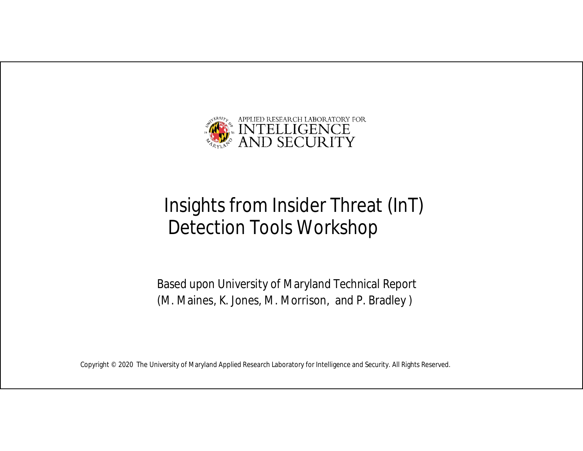

# Insights from Insider Threat (InT) Detection Tools Workshop

Based upon University of Maryland Technical Report (M. Maines, K. Jones, M. Morrison, and P. Bradley )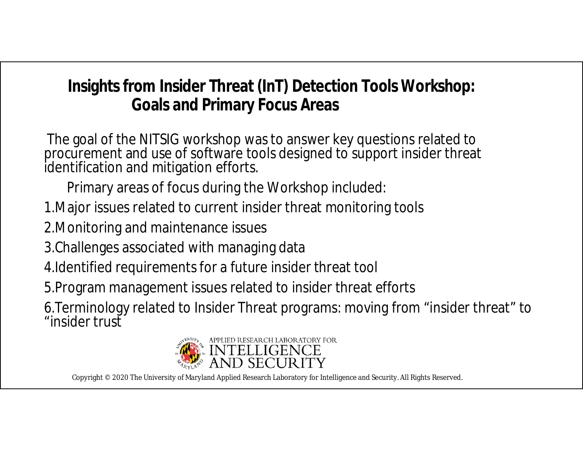# **Insights from Insider Threat (InT) Detection Tools Workshop: Goals and Primary Focus Areas**

The goal of the NITSIG workshop was to answer key questions related to procurement and use of software tools designed to support insider threat identification and mitigation efforts.

Primary areas of focus during the Workshop included:

- 1.Major issues related to current insider threat monitoring tools
- 2.Monitoring and maintenance issues
- 3.Challenges associated with managing data
- 4.Identified requirements for a future insider threat tool
- 5.Program management issues related to insider threat efforts

6.Terminology related to Insider Threat programs: moving from "insider threat" to "insider trust

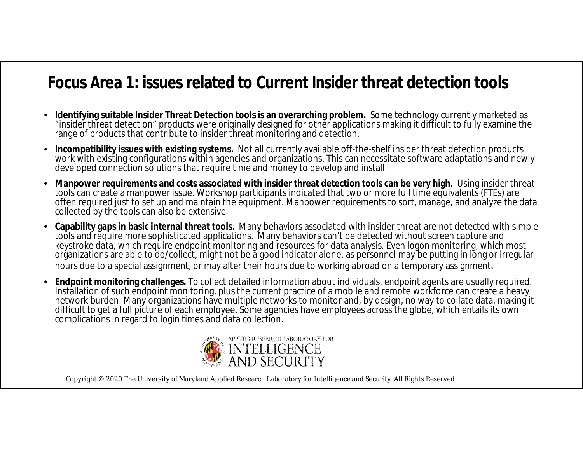#### **Focus Area 1: issues related to Current Insider threat detection tools**

- **Identifying suitable Insider Threat Detection tools is an overarching problem.** Some technology currently marketed as "insider threat detection" products were originally designed for other applications making it difficult to fully examine the range of products that contribute to insider threat monitoring and detection.
- **Incompatibility issues with existing systems.** Not all currently available off-the-shelf insider threat detection products work with existing configurations within agencies and organizations. This can necessitate software adaptations and newly developed connection solutions that require time and money to develop and install.
- **Manpower requirements and costs associated with insider threat detection tools can be very high.** Using insider threat tools can create a manpower issue. Workshop participants indicated that two or more full time equivalents (FTEs) are often required just to set up and maintain the equipment. Manpower requirements to sort, manage, and analyze the data collected by the tools can also be extensive.
- **Capability gaps in basic internal threat tools.** Many behaviors associated with insider threat are not detected with simple tools and require more sophisticated applications. Many behaviors can't be detected without screen capture and keystroke data, which require endpoint monitoring and resources for data analysis. Even logon monitoring, which most organizations are able to do/collect, might not be a good indicator alone, as personnel may be putting in long or irregular hours due to a special assignment, or may alter their hours due to working abroad on a temporary assignment.
- **Endpoint monitoring challenges.** To collect detailed information about individuals, endpoint agents are usually required. Installation of such endpoint monitoring, plus the current practice of a mobile and remote workforce can create a heavy network burden. Many organizations have multiple networks to monitor and, by design, no way to collate data, making it difficult to get a full picture of each employee. Some agencies have employees across the globe, which entails its own complications in regard to login times and data collection.

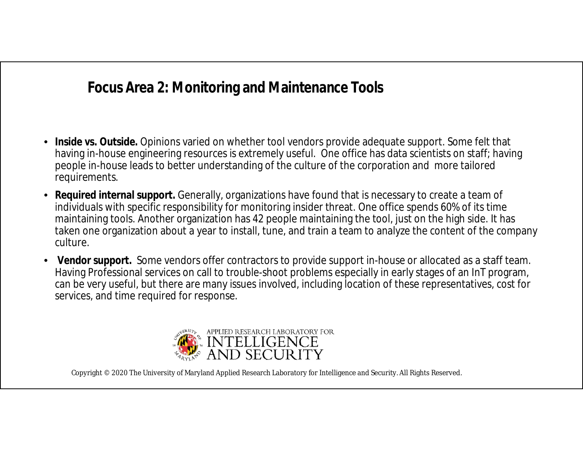#### **Focus Area 2: Monitoring and Maintenance Tools**

- **Inside vs. Outside.** Opinions varied on whether tool vendors provide adequate support. Some felt that having in-house engineering resources is extremely useful. One office has data scientists on staff; having people in-house leads to better understanding of the culture of the corporation and more tailored requirements.
- **Required internal support.** Generally, organizations have found that is necessary to create a team of individuals with specific responsibility for monitoring insider threat. One office spends 60% of its time maintaining tools. Another organization has 42 people maintaining the tool, just on the high side. It has taken one organization about a year to install, tune, and train a team to analyze the content of the company culture.
- **Vendor support.** Some vendors offer contractors to provide support in-house or allocated as a staff team. Having Professional services on call to trouble-shoot problems especially in early stages of an InT program, can be very useful, but there are many issues involved, including location of these representatives, cost for services, and time required for response.

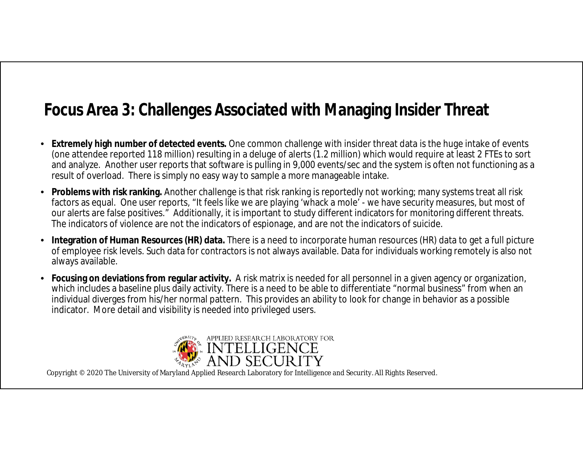# **Focus Area 3: Challenges Associated with Managing Insider Threat**

- **Extremely high number of detected events.** One common challenge with insider threat data is the huge intake of events (one attendee reported 118 million) resulting in a deluge of alerts (1.2 million) which would require at least 2 FTEs to sort and analyze. Another user reports that software is pulling in 9,000 events/sec and the system is often not functioning as a result of overload. There is simply no easy way to sample a more manageable intake.
- **Problems with risk ranking.** Another challenge is that risk ranking is reportedly not working; many systems treat all risk factors as equal. One user reports, "It feels like we are playing 'whack a mole' - we have security measures, but most of our alerts are false positives." Additionally, it is important to study different indicators for monitoring different threats. The indicators of violence are not the indicators of espionage, and are not the indicators of suicide.
- **Integration of Human Resources (HR) data.** There is a need to incorporate human resources (HR) data to get a full picture of employee risk levels. Such data for contractors is not always available. Data for individuals working remotely is also not always available.
- **Focusing on deviations from regular activity.** A risk matrix is needed for all personnel in a given agency or organization, which includes a baseline plus daily activity. There is a need to be able to differentiate "normal business" from when an individual diverges from his/her normal pattern. This provides an ability to look for change in behavior as a possible indicator. More detail and visibility is needed into privileged users.

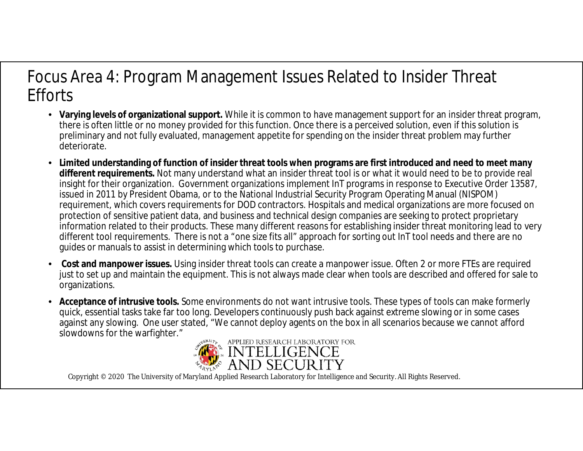### Focus Area 4: Program Management Issues Related to Insider Threat **Efforts**

- **Varying levels of organizational support.** While it is common to have management support for an insider threat program, there is often little or no money provided for this function. Once there is a perceived solution, even if this solution is preliminary and not fully evaluated, management appetite for spending on the insider threat problem may further deteriorate.
- **Limited understanding of function of insider threat tools when programs are first introduced and need to meet many different requirements.** Not many understand what an insider threat tool is or what it would need to be to provide real insight for their organization. Government organizations implement InT programs in response to Executive Order 13587, issued in 2011 by President Obama, or to the National Industrial Security Program Operating Manual (NISPOM) requirement, which covers requirements for DOD contractors. Hospitals and medical organizations are more focused on protection of sensitive patient data, and business and technical design companies are seeking to protect proprietary information related to their products. These many different reasons for establishing insider threat monitoring lead to very different tool requirements. There is not a "one size fits all" approach for sorting out InT tool needs and there are no guides or manuals to assist in determining which tools to purchase.
- **Cost and manpower issues.** Using insider threat tools can create a manpower issue. Often 2 or more FTEs are required just to set up and maintain the equipment. This is not always made clear when tools are described and offered for sale to organizations.
- **Acceptance of intrusive tools.** Some environments do not want intrusive tools. These types of tools can make formerly quick, essential tasks take far too long. Developers continuously push back against extreme slowing or in some cases against any slowing. One user stated, "We cannot deploy agents on the box in all scenarios because we cannot afford slowdowns for the warfighter."

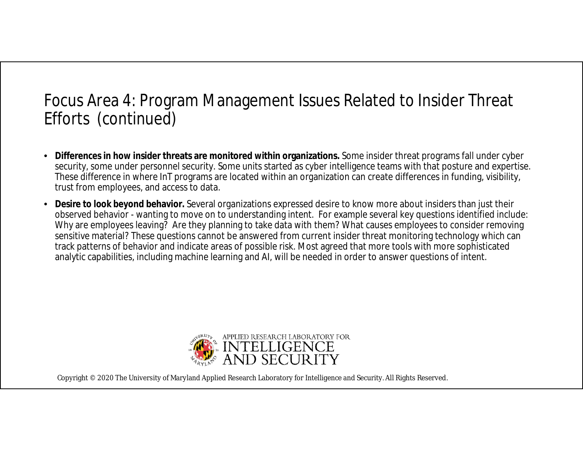### Focus Area 4: Program Management Issues Related to Insider Threat Efforts (continued)

- **Differences in how insider threats are monitored within organizations.** Some insider threat programs fall under cyber security, some under personnel security. Some units started as cyber intelligence teams with that posture and expertise. These difference in where InT programs are located within an organization can create differences in funding, visibility, trust from employees, and access to data.
- **Desire to look beyond behavior.** Several organizations expressed desire to know more about insiders than just their observed behavior - wanting to move on to understanding intent. For example several key questions identified include: Why are employees leaving? Are they planning to take data with them? What causes employees to consider removing sensitive material? These questions cannot be answered from current insider threat monitoring technology which can track patterns of behavior and indicate areas of possible risk. Most agreed that more tools with more sophisticated analytic capabilities, including machine learning and AI, will be needed in order to answer questions of intent.

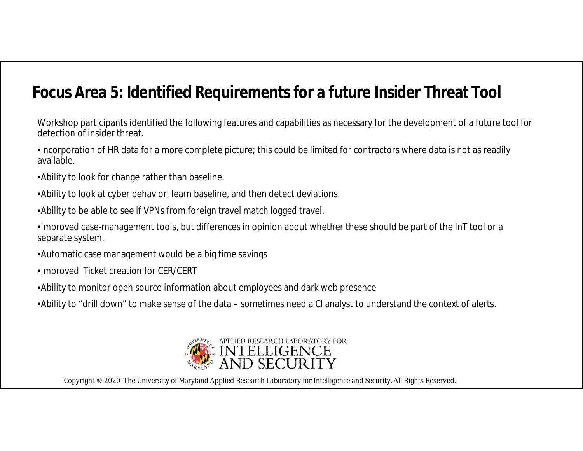### **Focus Area 5: Identified Requirements for a future Insider Threat Tool**

Workshop participants identified the following features and capabilities as necessary for the development of a future tool for detection of insider threat.

•Incorporation of HR data for a more complete picture; this could be limited for contractors where data is not as readily available.

•Ability to look for change rather than baseline.

•Ability to look at cyber behavior, learn baseline, and then detect deviations.

•Ability to be able to see if VPNs from foreign travel match logged travel.

•Improved case-management tools, but differences in opinion about whether these should be part of the InT tool or a separate system.

•Automatic case management would be a big time savings

•Improved Ticket creation for CER/CERT

•Ability to monitor open source information about employees and dark web presence

•Ability to "drill down" to make sense of the data – sometimes need a CI analyst to understand the context of alerts.

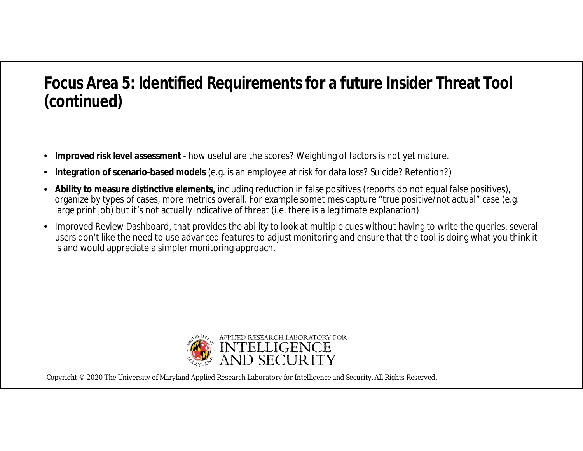### **Focus Area 5: Identified Requirements for a future Insider Threat Tool (continued)**

- **Improved risk level assessment**  how useful are the scores? Weighting of factors is not yet mature.
- **Integration of scenario-based models** (e.g. is an employee at risk for data loss? Suicide? Retention?)
- **Ability to measure distinctive elements,** including reduction in false positives (reports do not equal false positives), organize by types of cases, more metrics overall. For example sometimes capture "true positive/not actual" case (e.g. large print job) but it's not actually indicative of threat (i.e. there is a legitimate explanation)
- Improved Review Dashboard, that provides the ability to look at multiple cues without having to write the queries, several users don't like the need to use advanced features to adjust monitoring and ensure that the tool is doing what you think it is and would appreciate a simpler monitoring approach.

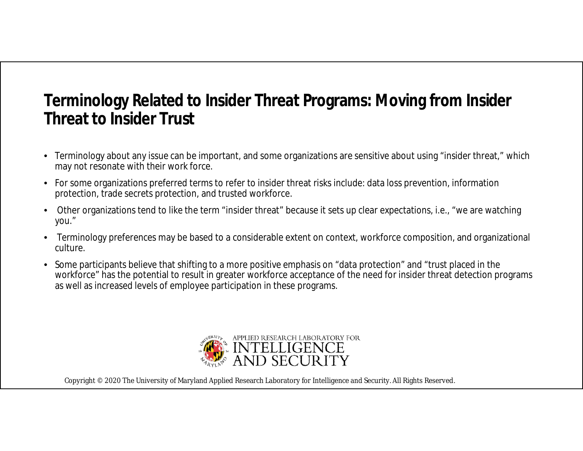### **Terminology Related to Insider Threat Programs: Moving from Insider Threat to Insider Trust**

- Terminology about any issue can be important, and some organizations are sensitive about using "insider threat," which may not resonate with their work force.
- For some organizations preferred terms to refer to insider threat risks include: data loss prevention, information protection, trade secrets protection, and trusted workforce.
- Other organizations tend to like the term "insider threat" because it sets up clear expectations, i.e., "we are watching you."
- Terminology preferences may be based to a considerable extent on context, workforce composition, and organizational culture.
- Some participants believe that shifting to a more positive emphasis on "data protection" and "trust placed in the workforce" has the potential to result in greater workforce acceptance of the need for insider threat detection programs as well as increased levels of employee participation in these programs.

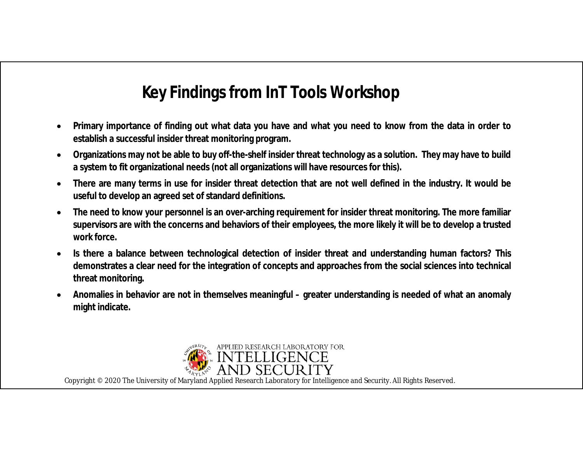# **Key Findings from InT Tools Workshop**

- **Primary importance of finding out what data you have and what you need to know from the data in order to establish a successful insider threat monitoring program.**
- **Organizations may not be able to buy off-the-shelf insider threat technology as a solution. They may have to build a system to fit organizational needs (not all organizations will have resources for this).**
- **There are many terms in use for insider threat detection that are not well defined in the industry. It would be useful to develop an agreed set of standard definitions.**
- **The need to know your personnel is an over-arching requirement for insider threat monitoring. The more familiar supervisors are with the concerns and behaviors of their employees, the more likely it will be to develop a trusted work force.**
- **Is there a balance between technological detection of insider threat and understanding human factors? This demonstrates a clear need for the integration of concepts and approaches from the social sciences into technical threat monitoring.**
- **Anomalies in behavior are not in themselves meaningful – greater understanding is needed of what an anomaly might indicate.**